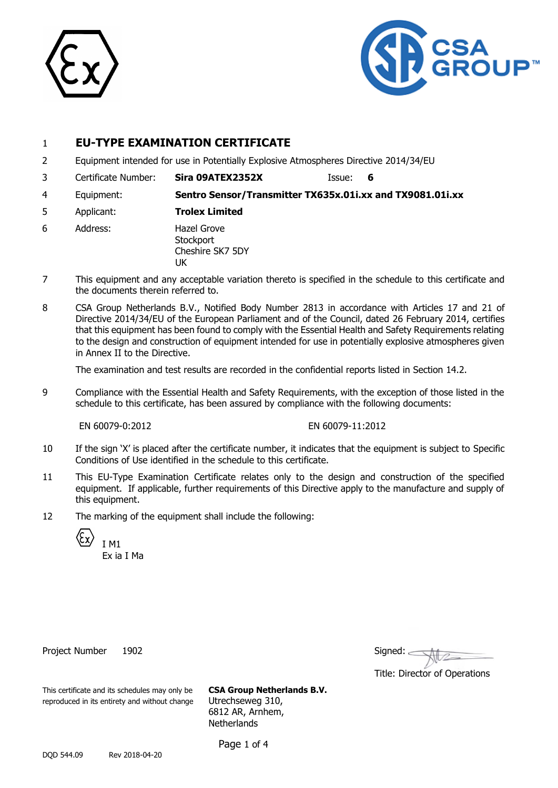



# 1 **EU-TYPE EXAMINATION CERTIFICATE**

- 2 Equipment intended for use in Potentially Explosive Atmospheres Directive 2014/34/EU
- 3 Certificate Number: **Sira 09ATEX2352X** Issue: **6**
- 4 Equipment: **Sentro Sensor/Transmitter TX635x.01i.xx and TX9081.01i.xx**
- 5 Applicant: **Trolex Limited**
- 6 Address: Hazel Grove **Stockport** Cheshire SK7 5DY **IK**
- 7 This equipment and any acceptable variation thereto is specified in the schedule to this certificate and the documents therein referred to.
- 8 CSA Group Netherlands B.V., Notified Body Number 2813 in accordance with Articles 17 and 21 of Directive 2014/34/EU of the European Parliament and of the Council, dated 26 February 2014, certifies that this equipment has been found to comply with the Essential Health and Safety Requirements relating to the design and construction of equipment intended for use in potentially explosive atmospheres given in Annex II to the Directive.

The examination and test results are recorded in the confidential reports listed in Section 14.2.

9 Compliance with the Essential Health and Safety Requirements, with the exception of those listed in the schedule to this certificate, has been assured by compliance with the following documents:

EN 60079-0:2012 EN 60079-11:2012

- 10 If the sign 'X' is placed after the certificate number, it indicates that the equipment is subject to Specific Conditions of Use identified in the schedule to this certificate.
- 11 This EU-Type Examination Certificate relates only to the design and construction of the specified equipment. If applicable, further requirements of this Directive apply to the manufacture and supply of this equipment.
- 12 The marking of the equipment shall include the following:



Ex ia I Ma

Project Number 1902

| Signed: |  |  |
|---------|--|--|
|         |  |  |

Title: Director of Operations

This certificate and its schedules may only be **CSA Group Netherlands B.V.** reproduced in its entirety and without change Utrechseweg 310,

6812 AR, Arnhem, **Netherlands** 

Page 1 of 4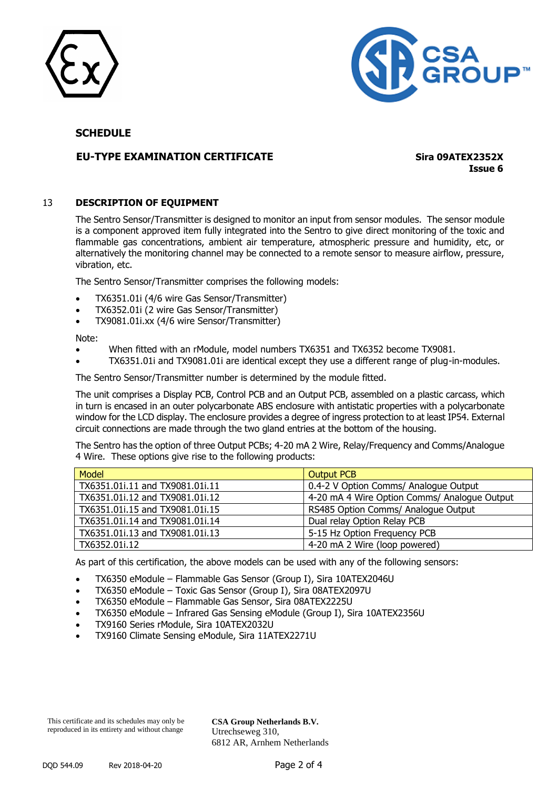



# **SCHEDULE**

# **EU-TYPE EXAMINATION CERTIFICATE Sira 09ATEX2352X**

**Issue 6**

#### 13 **DESCRIPTION OF EQUIPMENT**

The Sentro Sensor/Transmitter is designed to monitor an input from sensor modules. The sensor module is a component approved item fully integrated into the Sentro to give direct monitoring of the toxic and flammable gas concentrations, ambient air temperature, atmospheric pressure and humidity, etc, or alternatively the monitoring channel may be connected to a remote sensor to measure airflow, pressure, vibration, etc.

The Sentro Sensor/Transmitter comprises the following models:

- TX6351.01i (4/6 wire Gas Sensor/Transmitter)
- TX6352.01i (2 wire Gas Sensor/Transmitter)
- TX9081.01i.xx (4/6 wire Sensor/Transmitter)

Note:

- When fitted with an rModule, model numbers TX6351 and TX6352 become TX9081.
- TX6351.01i and TX9081.01i are identical except they use a different range of plug-in-modules.

The Sentro Sensor/Transmitter number is determined by the module fitted.

The unit comprises a Display PCB, Control PCB and an Output PCB, assembled on a plastic carcass, which in turn is encased in an outer polycarbonate ABS enclosure with antistatic properties with a polycarbonate window for the LCD display. The enclosure provides a degree of ingress protection to at least IP54. External circuit connections are made through the two gland entries at the bottom of the housing.

The Sentro has the option of three Output PCBs; 4-20 mA 2 Wire, Relay/Frequency and Comms/Analogue 4 Wire. These options give rise to the following products:

| Model                           | <b>Output PCB</b>                            |
|---------------------------------|----------------------------------------------|
| TX6351.01i.11 and TX9081.01i.11 | 0.4-2 V Option Comms/ Analogue Output        |
| TX6351.01i.12 and TX9081.01i.12 | 4-20 mA 4 Wire Option Comms/ Analogue Output |
| TX6351.01i.15 and TX9081.01i.15 | RS485 Option Comms/ Analogue Output          |
| TX6351.01i.14 and TX9081.01i.14 | Dual relay Option Relay PCB                  |
| TX6351.01i.13 and TX9081.01i.13 | 5-15 Hz Option Frequency PCB                 |
| TX6352.01i.12                   | 4-20 mA 2 Wire (loop powered)                |

As part of this certification, the above models can be used with any of the following sensors:

- TX6350 eModule Flammable Gas Sensor (Group I), Sira 10ATEX2046U
- TX6350 eModule Toxic Gas Sensor (Group I), Sira 08ATEX2097U
- TX6350 eModule Flammable Gas Sensor, Sira 08ATEX2225U
- TX6350 eModule Infrared Gas Sensing eModule (Group I), Sira 10ATEX2356U
- TX9160 Series rModule, Sira 10ATEX2032U
- TX9160 Climate Sensing eModule, Sira 11ATEX2271U

This certificate and its schedules may only be reproduced in its entirety and without change

**CSA Group Netherlands B.V.** Utrechseweg 310, 6812 AR, Arnhem Netherlands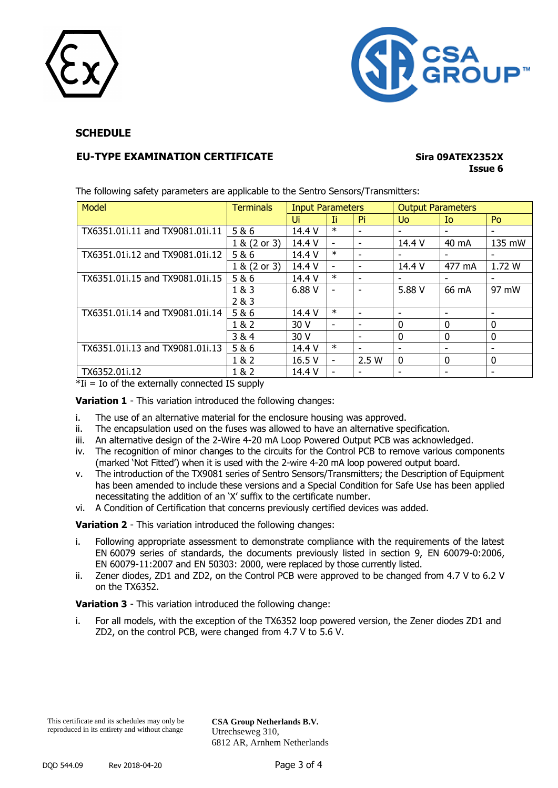



# **SCHEDULE**

# **EU-TYPE EXAMINATION CERTIFICATE Sira 09ATEX2352X**

# **Issue 6**

| Model                           | <b>Terminals</b> | <b>Input Parameters</b> |                              |                | <b>Output Parameters</b> |             |        |
|---------------------------------|------------------|-------------------------|------------------------------|----------------|--------------------------|-------------|--------|
|                                 |                  | Ui                      | Ιi                           | Pi.            | Uo.                      | Io.         | Po     |
| TX6351.01i.11 and TX9081.01i.11 | 5&6              | 14.4 V                  | $\ast$                       | ۰              |                          |             |        |
|                                 | 1 & (2 or 3)     | 14.4 V                  | $\overline{\phantom{a}}$     | ۰              | 14.4 V                   | 40 mA       | 135 mW |
| TX6351.01i.12 and TX9081.01i.12 | 5&6              | 14.4 V                  | $\ast$                       | -              |                          | ۰           |        |
|                                 | 1 & (2 or 3)     | 14.4 V                  | $\qquad \qquad \blacksquare$ | -              | 14.4 V                   | 477 mA      | 1.72 W |
| TX6351.01i.15 and TX9081.01i.15 | 5&6              | 14.4 V                  | $\ast$                       | ۰              |                          | ۰           |        |
|                                 | 1&3              | 6.88V                   |                              | $\blacksquare$ | 5.88 V                   | 66 mA       | 97 mW  |
|                                 | 2 & 3            |                         |                              |                |                          |             |        |
| TX6351.01i.14 and TX9081.01i.14 | 5 & 6            | 14.4 V                  | $\ast$                       | ۰              |                          | ۰           |        |
|                                 | 1 & 2            | 30 V                    |                              | ۰              | $\Omega$                 | $\Omega$    | 0      |
|                                 | 3&4              | 30 V                    |                              |                | $\Omega$                 | $\mathbf 0$ | 0      |
| TX6351.01i.13 and TX9081.01i.13 | 5 & 6            | 14.4 V                  | $\ast$                       | ۰              |                          | ۰           |        |
|                                 | 1 & 2            | 16.5 V                  | -                            | 2.5W           | $\mathbf{0}$             | $\mathbf 0$ | 0      |
| TX6352.01i.12                   | 1 & 2            | 14.4 V                  |                              | ٠              |                          | ۰           |        |

The following safety parameters are applicable to the Sentro Sensors/Transmitters:

 $*$ Ii = Io of the externally connected IS supply

**Variation 1** - This variation introduced the following changes:

- i. The use of an alternative material for the enclosure housing was approved.
- ii. The encapsulation used on the fuses was allowed to have an alternative specification.
- iii. An alternative design of the 2-Wire 4-20 mA Loop Powered Output PCB was acknowledged.
- iv. The recognition of minor changes to the circuits for the Control PCB to remove various components (marked 'Not Fitted') when it is used with the 2-wire 4-20 mA loop powered output board.
- v. The introduction of the TX9081 series of Sentro Sensors/Transmitters; the Description of Equipment has been amended to include these versions and a Special Condition for Safe Use has been applied necessitating the addition of an 'X' suffix to the certificate number.
- vi. A Condition of Certification that concerns previously certified devices was added.

**Variation 2** - This variation introduced the following changes:

- i. Following appropriate assessment to demonstrate compliance with the requirements of the latest EN 60079 series of standards, the documents previously listed in section 9, EN 60079-0:2006, EN 60079-11:2007 and EN 50303: 2000, were replaced by those currently listed.
- ii. Zener diodes, ZD1 and ZD2, on the Control PCB were approved to be changed from 4.7 V to 6.2 V on the TX6352.

**Variation 3** - This variation introduced the following change:

i. For all models, with the exception of the TX6352 loop powered version, the Zener diodes ZD1 and ZD2, on the control PCB, were changed from 4.7 V to 5.6 V.

**CSA Group Netherlands B.V.** Utrechseweg 310, 6812 AR, Arnhem Netherlands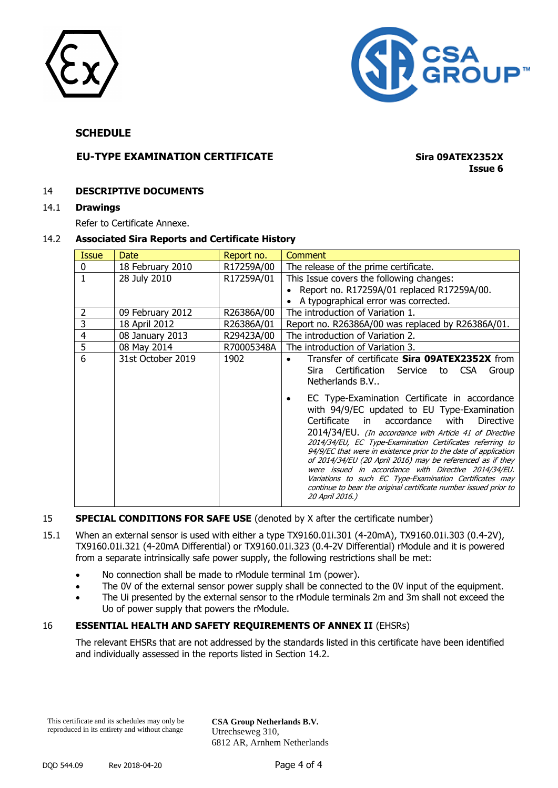



## **SCHEDULE**

# **EU-TYPE EXAMINATION CERTIFICATE Sira 09ATEX2352X**

**Issue 6**

#### 14 **DESCRIPTIVE DOCUMENTS**

#### 14.1 **Drawings**

Refer to Certificate Annexe.

#### 14.2 **Associated Sira Reports and Certificate History**

| <b>Issue</b> | Date              | Report no. | Comment                                                                                                                                                                                                                                                                                                                                                                                                                                                                                                                                                                                                                          |
|--------------|-------------------|------------|----------------------------------------------------------------------------------------------------------------------------------------------------------------------------------------------------------------------------------------------------------------------------------------------------------------------------------------------------------------------------------------------------------------------------------------------------------------------------------------------------------------------------------------------------------------------------------------------------------------------------------|
| 0            | 18 February 2010  | R17259A/00 | The release of the prime certificate.                                                                                                                                                                                                                                                                                                                                                                                                                                                                                                                                                                                            |
|              | 28 July 2010      | R17259A/01 | This Issue covers the following changes:<br>• Report no. R17259A/01 replaced R17259A/00.                                                                                                                                                                                                                                                                                                                                                                                                                                                                                                                                         |
|              |                   |            | • A typographical error was corrected.                                                                                                                                                                                                                                                                                                                                                                                                                                                                                                                                                                                           |
| 2            | 09 February 2012  | R26386A/00 | The introduction of Variation 1.                                                                                                                                                                                                                                                                                                                                                                                                                                                                                                                                                                                                 |
| 3            | 18 April 2012     | R26386A/01 | Report no. R26386A/00 was replaced by R26386A/01.                                                                                                                                                                                                                                                                                                                                                                                                                                                                                                                                                                                |
| 4            | 08 January 2013   | R29423A/00 | The introduction of Variation 2.                                                                                                                                                                                                                                                                                                                                                                                                                                                                                                                                                                                                 |
| 5            | 08 May 2014       | R70005348A | The introduction of Variation 3.                                                                                                                                                                                                                                                                                                                                                                                                                                                                                                                                                                                                 |
| 6            | 31st October 2019 | 1902       | Transfer of certificate Sira 09ATEX2352X from<br>Certification Service<br><b>CSA</b><br>Sira<br>to<br>Group<br>Netherlands B.V                                                                                                                                                                                                                                                                                                                                                                                                                                                                                                   |
|              |                   |            | EC Type-Examination Certificate in accordance<br>with 94/9/EC updated to EU Type-Examination<br>accordance<br>Certificate<br>with<br><b>Directive</b><br>in l<br>2014/34/EU. (In accordance with Article 41 of Directive<br>2014/34/EU, EC Type-Examination Certificates referring to<br>94/9/EC that were in existence prior to the date of application<br>of 2014/34/EU (20 April 2016) may be referenced as if they<br>were issued in accordance with Directive 2014/34/EU.<br>Variations to such EC Type-Examination Certificates may<br>continue to bear the original certificate number issued prior to<br>20 April 2016.) |

#### 15 **SPECIAL CONDITIONS FOR SAFE USE** (denoted by X after the certificate number)

- 15.1 When an external sensor is used with either a type TX9160.01i.301 (4-20mA), TX9160.01i.303 (0.4-2V), TX9160.01i.321 (4-20mA Differential) or TX9160.01i.323 (0.4-2V Differential) rModule and it is powered from a separate intrinsically safe power supply, the following restrictions shall be met:
	- No connection shall be made to rModule terminal 1m (power).
	- The 0V of the external sensor power supply shall be connected to the 0V input of the equipment.
	- The Ui presented by the external sensor to the rModule terminals 2m and 3m shall not exceed the Uo of power supply that powers the rModule.

### 16 **ESSENTIAL HEALTH AND SAFETY REQUIREMENTS OF ANNEX II** (EHSRs)

The relevant EHSRs that are not addressed by the standards listed in this certificate have been identified and individually assessed in the reports listed in Section 14.2.

This certificate and its schedules may only be reproduced in its entirety and without change

**CSA Group Netherlands B.V.** Utrechseweg 310, 6812 AR, Arnhem Netherlands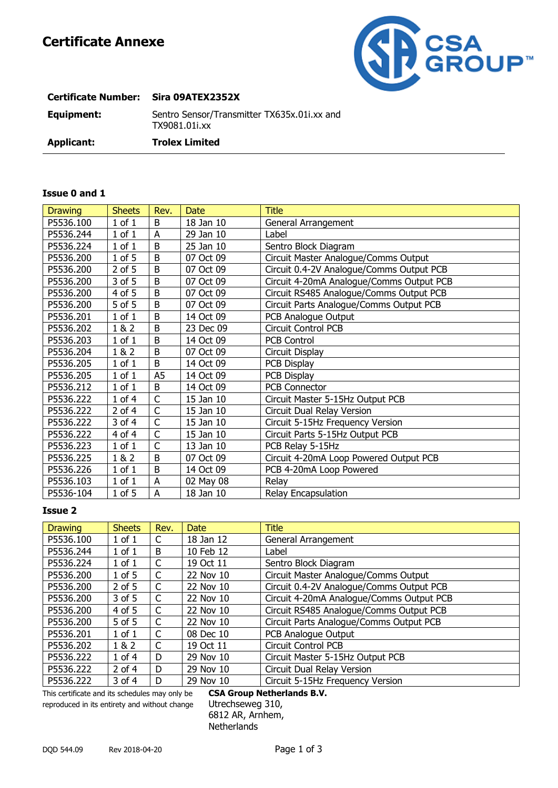

| <b>Certificate Number:</b> | Sira 09ATEX2352X                                             |
|----------------------------|--------------------------------------------------------------|
| Equipment:                 | Sentro Sensor/Transmitter TX635x.01i.xx and<br>TX9081.01i.xx |
| <b>Applicant:</b>          | <b>Trolex Limited</b>                                        |

# **Issue 0 and 1**

| <b>Drawing</b> | <b>Sheets</b> | Rev.                    | <b>Date</b> | <b>Title</b>                             |
|----------------|---------------|-------------------------|-------------|------------------------------------------|
| P5536.100      | $1$ of $1$    | B                       | 18 Jan 10   | General Arrangement                      |
| P5536.244      | $1$ of $1$    | A                       | 29 Jan 10   | Label                                    |
| P5536.224      | $1$ of $1$    | B                       | 25 Jan 10   | Sentro Block Diagram                     |
| P5536.200      | 1 of 5        | B                       | 07 Oct 09   | Circuit Master Analogue/Comms Output     |
| P5536.200      | 2 of 5        | B                       | 07 Oct 09   | Circuit 0.4-2V Analogue/Comms Output PCB |
| P5536.200      | 3 of 5        | B                       | 07 Oct 09   | Circuit 4-20mA Analogue/Comms Output PCB |
| P5536.200      | 4 of 5        | B                       | 07 Oct 09   | Circuit RS485 Analogue/Comms Output PCB  |
| P5536.200      | 5 of 5        | B                       | 07 Oct 09   | Circuit Parts Analogue/Comms Output PCB  |
| P5536.201      | $1$ of $1$    | B                       | 14 Oct 09   | PCB Analogue Output                      |
| P5536.202      | 1 & 2         | B                       | 23 Dec 09   | Circuit Control PCB                      |
| P5536.203      | $1$ of $1$    | B                       | 14 Oct 09   | <b>PCB Control</b>                       |
| P5536.204      | 1 & 2         | B                       | 07 Oct 09   | Circuit Display                          |
| P5536.205      | $1$ of $1$    | B                       | 14 Oct 09   | PCB Display                              |
| P5536.205      | $1$ of $1$    | A <sub>5</sub>          | 14 Oct 09   | PCB Display                              |
| P5536.212      | $1$ of $1$    | B                       | 14 Oct 09   | PCB Connector                            |
| P5536.222      | 1 of 4        | $\overline{\mathsf{C}}$ | 15 Jan 10   | Circuit Master 5-15Hz Output PCB         |
| P5536.222      | $2$ of 4      | $\overline{C}$          | 15 Jan 10   | Circuit Dual Relay Version               |
| P5536.222      | 3 of 4        | $\overline{\mathsf{C}}$ | 15 Jan 10   | Circuit 5-15Hz Frequency Version         |
| P5536.222      | 4 of 4        | $\overline{\mathsf{C}}$ | 15 Jan 10   | Circuit Parts 5-15Hz Output PCB          |
| P5536.223      | $1$ of $1$    | $\overline{\mathsf{C}}$ | 13 Jan 10   | PCB Relay 5-15Hz                         |
| P5536.225      | 1 & 2         | B                       | 07 Oct 09   | Circuit 4-20mA Loop Powered Output PCB   |
| P5536.226      | $1$ of $1$    | B                       | 14 Oct 09   | PCB 4-20mA Loop Powered                  |
| P5536.103      | $1$ of $1$    | A                       | 02 May 08   | Relay                                    |
| P5536-104      | $1$ of $5$    | A                       | 18 Jan 10   | Relay Encapsulation                      |

#### **Issue 2**

| <b>Drawing</b> | <b>Sheets</b> | Rev. | <b>Date</b> | <b>Title</b>                             |
|----------------|---------------|------|-------------|------------------------------------------|
| P5536.100      | $1$ of $1$    | C    | 18 Jan 12   | General Arrangement                      |
| P5536.244      | $1$ of $1$    | B    | 10 Feb 12   | Label                                    |
| P5536.224      | $1$ of $1$    | C    | 19 Oct 11   | Sentro Block Diagram                     |
| P5536.200      | $1$ of 5      | C    | 22 Nov 10   | Circuit Master Analogue/Comms Output     |
| P5536.200      | $2$ of 5      | C    | 22 Nov 10   | Circuit 0.4-2V Analogue/Comms Output PCB |
| P5536.200      | 3 of 5        | C    | 22 Nov 10   | Circuit 4-20mA Analogue/Comms Output PCB |
| P5536.200      | 4 of 5        | C    | 22 Nov 10   | Circuit RS485 Analogue/Comms Output PCB  |
| P5536.200      | 5 of 5        | C    | 22 Nov 10   | Circuit Parts Analogue/Comms Output PCB  |
| P5536.201      | $1$ of $1$    | C    | 08 Dec 10   | PCB Analogue Output                      |
| P5536.202      | 1 & 2         | C    | 19 Oct 11   | <b>Circuit Control PCB</b>               |
| P5536.222      | $1$ of $4$    | D    | 29 Nov 10   | Circuit Master 5-15Hz Output PCB         |
| P5536.222      | $2$ of 4      | D    | 29 Nov 10   | Circuit Dual Relay Version               |
| P5536.222      | 3 of 4        | D    | 29 Nov 10   | Circuit 5-15Hz Frequency Version         |

This certificate and its schedules may only be **CSA Group Netherlands B.V.** reproduced in its entirety and without change Utrechseweg 310,

6812 AR, Arnhem, **Netherlands**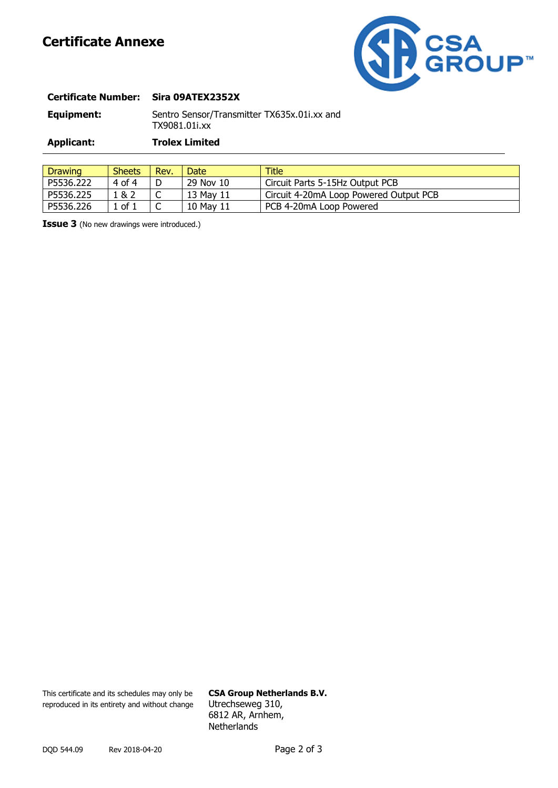# **Certificate Annexe**



| <b>Certificate Number:</b> | Sira 09ATEX2352X                                             |
|----------------------------|--------------------------------------------------------------|
| Equipment:                 | Sentro Sensor/Transmitter TX635x.01i.xx and<br>TX9081.01i.xx |
| Applicant:                 | <b>Trolex Limited</b>                                        |
|                            |                                                              |

| Drawing   | <b>Sheets</b> | Rev. | Date      | Title                                  |
|-----------|---------------|------|-----------|----------------------------------------|
| P5536.222 | 4 of 4        | D    | 29 Nov 10 | Circuit Parts 5-15Hz Output PCB        |
| P5536.225 | ! & 2         | ◡    | 13 May 11 | Circuit 4-20mA Loop Powered Output PCB |
| P5536.226 | of 1          | ◡    | 10 May 11 | PCB 4-20mA Loop Powered                |

**Issue 3** (No new drawings were introduced.)

This certificate and its schedules may only be **CSA Group Netherlands B.V.** reproduced in its entirety and without change Utrechseweg 310,

6812 AR, Arnhem, **Netherlands**